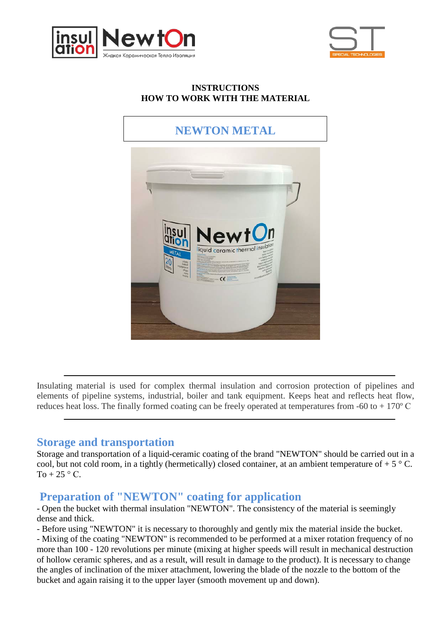



#### **INSTRUCTIONS HOW TO WORK WITH THE MATERIAL**

# **NEWTON METAL**



Insulating material is used for complex thermal insulation and corrosion protection of pipelines and elements of pipeline systems, industrial, boiler and tank equipment. Keeps heat and reflects heat flow, reduces heat loss. The finally formed coating can be freely operated at temperatures from -60 to + 170º С

#### **Storage and transportation**

Storage and transportation of a liquid-ceramic coating of the brand "NEWTON" should be carried out in a cool, but not cold room, in a tightly (hermetically) closed container, at an ambient temperature of  $+ 5 \degree C$ . To  $+25$  ° C.

#### **Preparation of "NEWTON" coating for application**

- Open the bucket with thermal insulation "NEWTON". The consistency of the material is seemingly dense and thick.

- Before using "NEWTON" it is necessary to thoroughly and gently mix the material inside the bucket.

- Mixing of the coating "NEWTON" is recommended to be performed at a mixer rotation frequency of no more than 100 - 120 revolutions per minute (mixing at higher speeds will result in mechanical destruction of hollow ceramic spheres, and as a result, will result in damage to the product). It is necessary to change the angles of inclination of the mixer attachment, lowering the blade of the nozzle to the bottom of the bucket and again raising it to the upper layer (smooth movement up and down).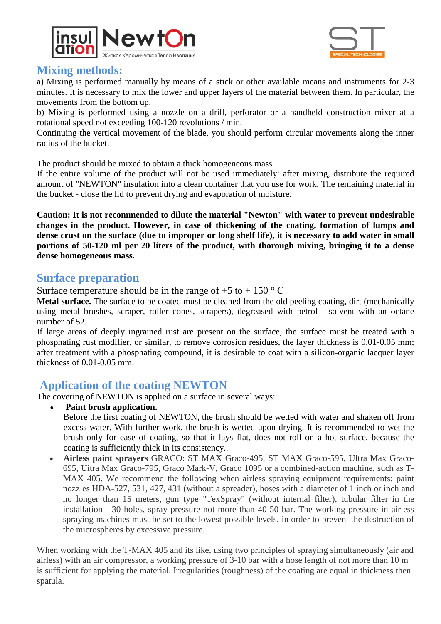



#### **Mixing methods:**

a) Mixing is performed manually by means of a stick or other available means and instruments for 2-3 minutes. It is necessary to mix the lower and upper layers of the material between them. In particular, the movements from the bottom up.

b) Mixing is performed using a nozzle on a drill, perforator or a handheld construction mixer at a rotational speed not exceeding 100-120 revolutions / min.

Continuing the vertical movement of the blade, you should perform circular movements along the inner radius of the bucket.

The product should be mixed to obtain a thick homogeneous mass.

If the entire volume of the product will not be used immediately: after mixing, distribute the required amount of "NEWTON" insulation into a clean container that you use for work. The remaining material in the bucket - close the lid to prevent drying and evaporation of moisture.

**Caution: It is not recommended to dilute the material "Newton" with water to prevent undesirable changes in the product. However, in case of thickening of the coating, formation of lumps and dense crust on the surface (due to improper or long shelf life), it is necessary to add water in small portions of 50-120 ml per 20 liters of the product, with thorough mixing, bringing it to a dense dense homogeneous mass***.*

#### **Surface preparation**

Surface temperature should be in the range of  $+5$  to  $+ 150$  ° C

**Metal surface.** The surface to be coated must be cleaned from the old peeling coating, dirt (mechanically using metal brushes, scraper, roller cones, scrapers), degreased with petrol - solvent with an octane number of 52.

If large areas of deeply ingrained rust are present on the surface, the surface must be treated with a phosphating rust modifier, or similar, to remove corrosion residues, the layer thickness is 0.01-0.05 mm; after treatment with a phosphating compound, it is desirable to coat with a silicon-organic lacquer layer thickness of 0.01-0.05 mm.

## **Application of the coating NEWTON**

The covering of NEWTON is applied on a surface in several ways:

• **Paint brush application.**

Before the first coating of NEWTON, the brush should be wetted with water and shaken off from excess water. With further work, the brush is wetted upon drying. It is recommended to wet the brush only for ease of coating, so that it lays flat, does not roll on a hot surface, because the coating is sufficiently thick in its consistency..

• **Airless paint sprayers** GRACO: ST MAX Graco-495, ST MAX Graco-595, Ultra Max Graco-695, Uitra Max Graco-795, Graco Mark-V, Graco 1095 or a combined-action machine, such as T-MAX 405. We recommend the following when airless spraying equipment requirements: paint nozzles HDA-527, 531, 427, 431 (without a spreader), hoses with a diameter of 1 inch or inch and no longer than 15 meters, gun type "TexSpray" (without internal filter), tubular filter in the installation - 30 holes, spray pressure not more than 40-50 bar. The working pressure in airless spraying machines must be set to the lowest possible levels, in order to prevent the destruction of the microspheres by excessive pressure.

When working with the T-MAX 405 and its like, using two principles of spraying simultaneously (air and airless) with an air compressor, a working pressure of 3-10 bar with a hose length of not more than 10 m is sufficient for applying the material. Irregularities (roughness) of the coating are equal in thickness then spatula.